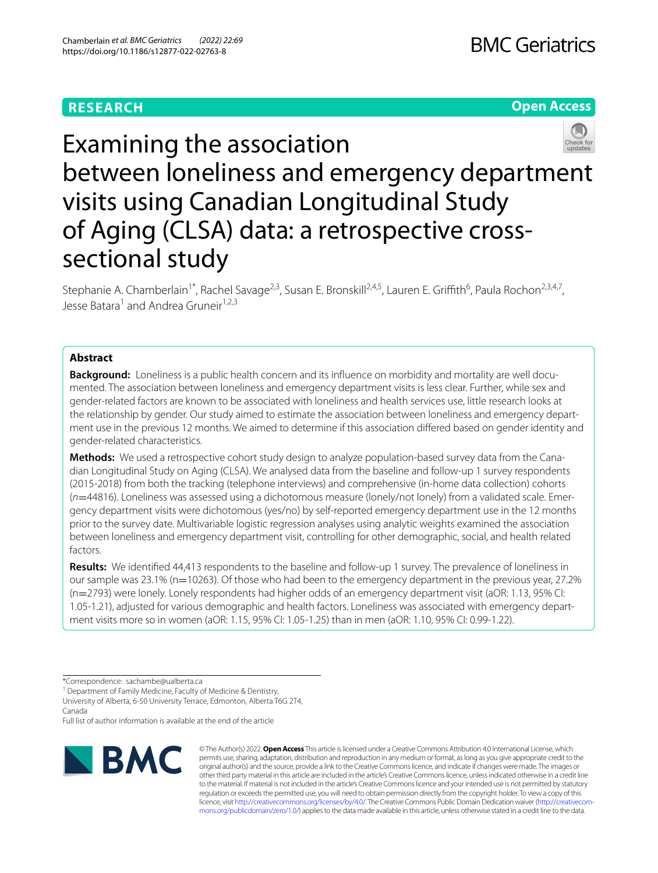# **RESEARCH**

# **Open Access**



# Examining the association between loneliness and emergency department visits using Canadian Longitudinal Study of Aging (CLSA) data: a retrospective crosssectional study

Stephanie A. Chamberlain<sup>1\*</sup>, Rachel Savage<sup>2,3</sup>, Susan E. Bronskill<sup>2,4,5</sup>, Lauren E. Griffith<sup>6</sup>, Paula Rochon<sup>2,3,4,7</sup>, Jesse Batara<sup>1</sup> and Andrea Gruneir<sup>1,2,3</sup>

# **Abstract**

**Background:** Loneliness is a public health concern and its infuence on morbidity and mortality are well documented. The association between loneliness and emergency department visits is less clear. Further, while sex and gender-related factors are known to be associated with loneliness and health services use, little research looks at the relationship by gender. Our study aimed to estimate the association between loneliness and emergency department use in the previous 12 months. We aimed to determine if this association difered based on gender identity and gender-related characteristics.

**Methods:** We used a retrospective cohort study design to analyze population-based survey data from the Canadian Longitudinal Study on Aging (CLSA). We analysed data from the baseline and follow-up 1 survey respondents (2015-2018) from both the tracking (telephone interviews) and comprehensive (in-home data collection) cohorts (*n*=44816). Loneliness was assessed using a dichotomous measure (lonely/not lonely) from a validated scale. Emergency department visits were dichotomous (yes/no) by self-reported emergency department use in the 12 months prior to the survey date. Multivariable logistic regression analyses using analytic weights examined the association between loneliness and emergency department visit, controlling for other demographic, social, and health related factors.

**Results:** We identifed 44,413 respondents to the baseline and follow-up 1 survey. The prevalence of loneliness in our sample was 23.1% (n=10263). Of those who had been to the emergency department in the previous year, 27.2% (n=2793) were lonely. Lonely respondents had higher odds of an emergency department visit (aOR: 1.13, 95% CI: 1.05-1.21), adjusted for various demographic and health factors. Loneliness was associated with emergency department visits more so in women (aOR: 1.15, 95% CI: 1.05-1.25) than in men (aOR: 1.10, 95% CI: 0.99-1.22).

<sup>1</sup> Department of Family Medicine, Faculty of Medicine & Dentistry, University of Alberta, 6-50 University Terrace, Edmonton, Alberta T6G 2T4,

Canada

Full list of author information is available at the end of the article



© The Author(s) 2022. **Open Access** This article is licensed under a Creative Commons Attribution 4.0 International License, which permits use, sharing, adaptation, distribution and reproduction in any medium or format, as long as you give appropriate credit to the original author(s) and the source, provide a link to the Creative Commons licence, and indicate if changes were made. The images or other third party material in this article are included in the article's Creative Commons licence, unless indicated otherwise in a credit line to the material. If material is not included in the article's Creative Commons licence and your intended use is not permitted by statutory regulation or exceeds the permitted use, you will need to obtain permission directly from the copyright holder. To view a copy of this licence, visit [http://creativecommons.org/licenses/by/4.0/.](http://creativecommons.org/licenses/by/4.0/) The Creative Commons Public Domain Dedication waiver ([http://creativecom](http://creativecommons.org/publicdomain/zero/1.0/)[mons.org/publicdomain/zero/1.0/\)](http://creativecommons.org/publicdomain/zero/1.0/) applies to the data made available in this article, unless otherwise stated in a credit line to the data.

<sup>\*</sup>Correspondence: sachambe@ualberta.ca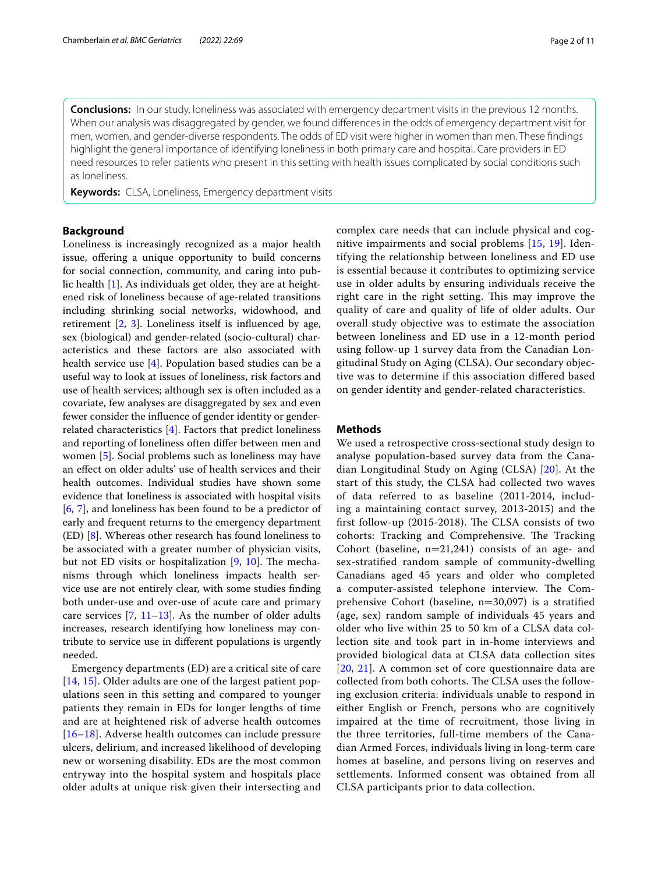**Conclusions:** In our study, loneliness was associated with emergency department visits in the previous 12 months. When our analysis was disaggregated by gender, we found diferences in the odds of emergency department visit for men, women, and gender-diverse respondents. The odds of ED visit were higher in women than men. These fndings highlight the general importance of identifying loneliness in both primary care and hospital. Care providers in ED need resources to refer patients who present in this setting with health issues complicated by social conditions such as loneliness.

**Keywords:** CLSA, Loneliness, Emergency department visits

# **Background**

Loneliness is increasingly recognized as a major health issue, offering a unique opportunity to build concerns for social connection, community, and caring into public health [[1](#page-9-0)]. As individuals get older, they are at heightened risk of loneliness because of age-related transitions including shrinking social networks, widowhood, and retirement  $[2, 3]$  $[2, 3]$  $[2, 3]$  $[2, 3]$ . Loneliness itself is influenced by age, sex (biological) and gender-related (socio-cultural) characteristics and these factors are also associated with health service use [[4\]](#page-9-3). Population based studies can be a useful way to look at issues of loneliness, risk factors and use of health services; although sex is often included as a covariate, few analyses are disaggregated by sex and even fewer consider the infuence of gender identity or genderrelated characteristics [[4\]](#page-9-3). Factors that predict loneliness and reporting of loneliness often difer between men and women [\[5](#page-9-4)]. Social problems such as loneliness may have an efect on older adults' use of health services and their health outcomes. Individual studies have shown some evidence that loneliness is associated with hospital visits [[6,](#page-9-5) [7\]](#page-9-6), and loneliness has been found to be a predictor of early and frequent returns to the emergency department (ED) [[8\]](#page-9-7). Whereas other research has found loneliness to be associated with a greater number of physician visits, but not ED visits or hospitalization  $[9, 10]$  $[9, 10]$  $[9, 10]$  $[9, 10]$  $[9, 10]$ . The mechanisms through which loneliness impacts health service use are not entirely clear, with some studies fnding both under-use and over-use of acute care and primary care services  $[7, 11-13]$  $[7, 11-13]$  $[7, 11-13]$  $[7, 11-13]$  $[7, 11-13]$ . As the number of older adults increases, research identifying how loneliness may contribute to service use in diferent populations is urgently needed.

Emergency departments (ED) are a critical site of care [[14](#page-9-12), [15](#page-9-13)]. Older adults are one of the largest patient populations seen in this setting and compared to younger patients they remain in EDs for longer lengths of time and are at heightened risk of adverse health outcomes [[16](#page-9-14)[–18](#page-9-15)]. Adverse health outcomes can include pressure ulcers, delirium, and increased likelihood of developing new or worsening disability. EDs are the most common entryway into the hospital system and hospitals place older adults at unique risk given their intersecting and complex care needs that can include physical and cognitive impairments and social problems [\[15](#page-9-13), [19](#page-9-16)]. Identifying the relationship between loneliness and ED use is essential because it contributes to optimizing service use in older adults by ensuring individuals receive the right care in the right setting. This may improve the quality of care and quality of life of older adults. Our overall study objective was to estimate the association between loneliness and ED use in a 12-month period using follow-up 1 survey data from the Canadian Longitudinal Study on Aging (CLSA). Our secondary objective was to determine if this association difered based on gender identity and gender-related characteristics.

## **Methods**

We used a retrospective cross-sectional study design to analyse population-based survey data from the Canadian Longitudinal Study on Aging (CLSA) [[20\]](#page-9-17). At the start of this study, the CLSA had collected two waves of data referred to as baseline (2011-2014, including a maintaining contact survey, 2013-2015) and the first follow-up  $(2015-2018)$ . The CLSA consists of two cohorts: Tracking and Comprehensive. The Tracking Cohort (baseline,  $n=21,241$ ) consists of an age- and sex-stratifed random sample of community-dwelling Canadians aged 45 years and older who completed a computer-assisted telephone interview. The Comprehensive Cohort (baseline, n=30,097) is a stratifed (age, sex) random sample of individuals 45 years and older who live within 25 to 50 km of a CLSA data collection site and took part in in-home interviews and provided biological data at CLSA data collection sites [[20](#page-9-17), [21](#page-9-18)]. A common set of core questionnaire data are collected from both cohorts. The CLSA uses the following exclusion criteria: individuals unable to respond in either English or French, persons who are cognitively impaired at the time of recruitment, those living in the three territories, full-time members of the Canadian Armed Forces, individuals living in long-term care homes at baseline, and persons living on reserves and settlements. Informed consent was obtained from all CLSA participants prior to data collection.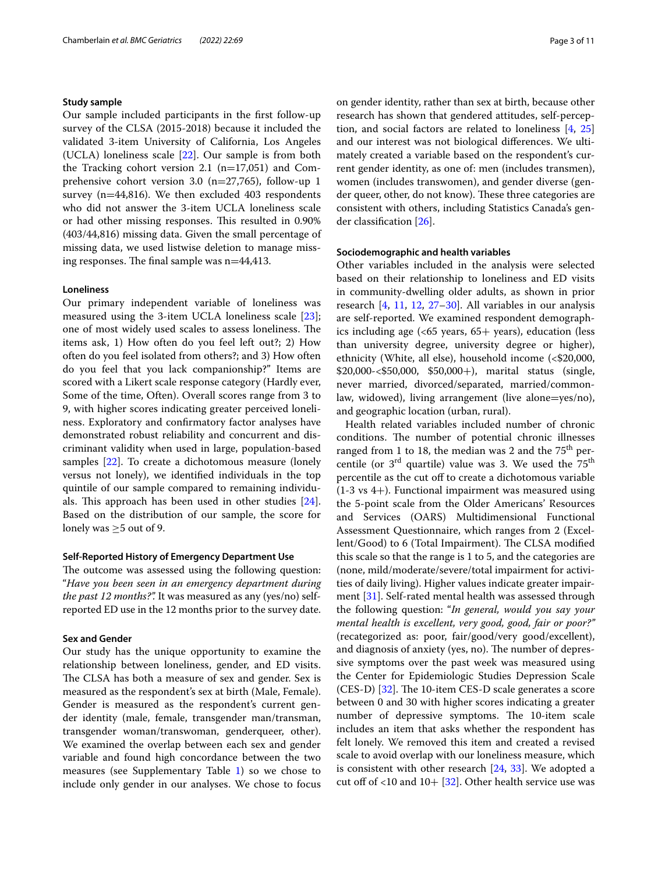## **Study sample**

Our sample included participants in the frst follow-up survey of the CLSA (2015-2018) because it included the validated 3-item University of California, Los Angeles (UCLA) loneliness scale [[22\]](#page-9-19). Our sample is from both the Tracking cohort version 2.1  $(n=17,051)$  and Comprehensive cohort version 3.0 (n=27,765), follow-up 1 survey ( $n=44,816$ ). We then excluded 403 respondents who did not answer the 3-item UCLA loneliness scale or had other missing responses. This resulted in 0.90% (403/44,816) missing data. Given the small percentage of missing data, we used listwise deletion to manage missing responses. The final sample was  $n=44,413$ .

## **Loneliness**

Our primary independent variable of loneliness was measured using the 3-item UCLA loneliness scale [\[23](#page-9-20)]; one of most widely used scales to assess loneliness. The items ask, 1) How often do you feel left out?; 2) How often do you feel isolated from others?; and 3) How often do you feel that you lack companionship?" Items are scored with a Likert scale response category (Hardly ever, Some of the time, Often). Overall scores range from 3 to 9, with higher scores indicating greater perceived loneliness. Exploratory and confrmatory factor analyses have demonstrated robust reliability and concurrent and discriminant validity when used in large, population-based samples [\[22](#page-9-19)]. To create a dichotomous measure (lonely versus not lonely), we identifed individuals in the top quintile of our sample compared to remaining individuals. This approach has been used in other studies  $[24]$  $[24]$ . Based on the distribution of our sample, the score for lonely was  $\geq$ 5 out of 9.

#### **Self‑Reported History of Emergency Department Use**

The outcome was assessed using the following question: "*Have you been seen in an emergency department during the past 12 months?".* It was measured as any (yes/no) selfreported ED use in the 12 months prior to the survey date.

# **Sex and Gender**

Our study has the unique opportunity to examine the relationship between loneliness, gender, and ED visits. The CLSA has both a measure of sex and gender. Sex is measured as the respondent's sex at birth (Male, Female). Gender is measured as the respondent's current gender identity (male, female, transgender man/transman, transgender woman/transwoman, genderqueer, other). We examined the overlap between each sex and gender variable and found high concordance between the two measures (see Supplementary Table [1\)](#page-8-0) so we chose to include only gender in our analyses. We chose to focus on gender identity, rather than sex at birth, because other research has shown that gendered attitudes, self-perception, and social factors are related to loneliness [\[4](#page-9-3), [25](#page-9-22)] and our interest was not biological diferences. We ultimately created a variable based on the respondent's current gender identity, as one of: men (includes transmen), women (includes transwomen), and gender diverse (gender queer, other, do not know). These three categories are consistent with others, including Statistics Canada's gender classifcation [[26](#page-9-23)].

## **Sociodemographic and health variables**

Other variables included in the analysis were selected based on their relationship to loneliness and ED visits in community-dwelling older adults, as shown in prior research [[4,](#page-9-3) [11](#page-9-10), [12](#page-9-24), [27–](#page-9-25)[30](#page-9-26)]. All variables in our analysis are self-reported. We examined respondent demographics including age  $\left( < 65 \right)$  years, 65+ years), education (less than university degree, university degree or higher), ethnicity (White, all else), household income (<\$20,000, \$20,000-<\$50,000, \$50,000+), marital status (single, never married, divorced/separated, married/commonlaw, widowed), living arrangement (live alone=yes/no), and geographic location (urban, rural).

Health related variables included number of chronic conditions. The number of potential chronic illnesses ranged from 1 to 18, the median was 2 and the  $75<sup>th</sup>$  percentile (or  $3<sup>rd</sup>$  quartile) value was 3. We used the  $75<sup>th</sup>$ percentile as the cut off to create a dichotomous variable (1-3 vs 4+). Functional impairment was measured using the 5-point scale from the Older Americans' Resources and Services (OARS) Multidimensional Functional Assessment Questionnaire, which ranges from 2 (Excellent/Good) to 6 (Total Impairment). The CLSA modified this scale so that the range is 1 to 5, and the categories are (none, mild/moderate/severe/total impairment for activities of daily living). Higher values indicate greater impairment [[31\]](#page-9-27). Self-rated mental health was assessed through the following question: "*In general, would you say your mental health is excellent, very good, good, fair or poor?"* (recategorized as: poor, fair/good/very good/excellent), and diagnosis of anxiety (yes, no). The number of depressive symptoms over the past week was measured using the Center for Epidemiologic Studies Depression Scale  $(CES-D)$  [\[32](#page-9-28)]. The 10-item CES-D scale generates a score between 0 and 30 with higher scores indicating a greater number of depressive symptoms. The 10-item scale includes an item that asks whether the respondent has felt lonely. We removed this item and created a revised scale to avoid overlap with our loneliness measure, which is consistent with other research [[24,](#page-9-21) [33](#page-9-29)]. We adopted a cut off of  $<10$  and  $10+[32]$  $10+[32]$ . Other health service use was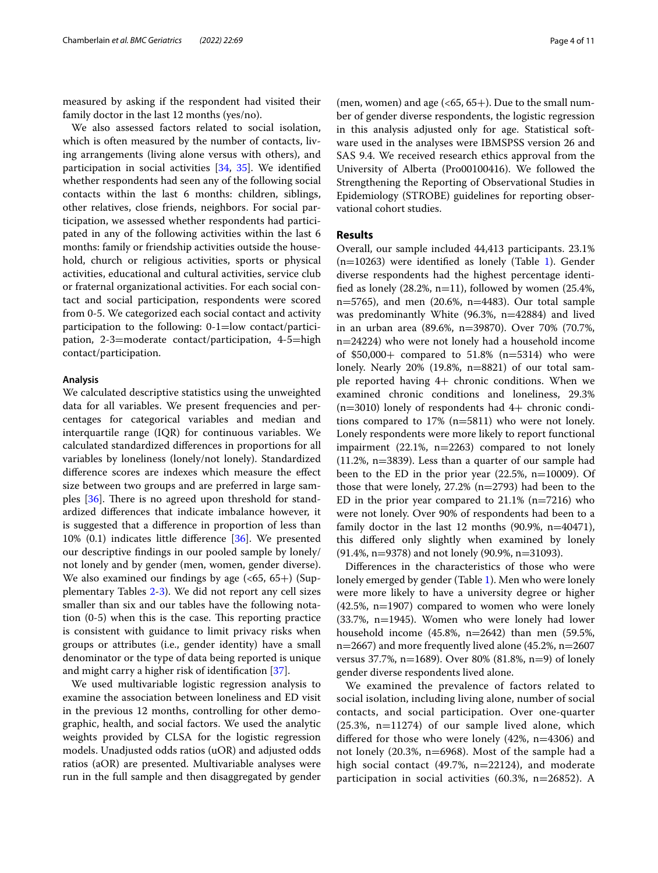measured by asking if the respondent had visited their family doctor in the last 12 months (yes/no).

We also assessed factors related to social isolation, which is often measured by the number of contacts, living arrangements (living alone versus with others), and participation in social activities [[34,](#page-9-30) [35\]](#page-9-31). We identifed whether respondents had seen any of the following social contacts within the last 6 months: children, siblings, other relatives, close friends, neighbors. For social participation, we assessed whether respondents had participated in any of the following activities within the last 6 months: family or friendship activities outside the household, church or religious activities, sports or physical activities, educational and cultural activities, service club or fraternal organizational activities. For each social contact and social participation, respondents were scored from 0-5. We categorized each social contact and activity participation to the following: 0-1=low contact/participation, 2-3=moderate contact/participation, 4-5=high contact/participation.

#### **Analysis**

We calculated descriptive statistics using the unweighted data for all variables. We present frequencies and percentages for categorical variables and median and interquartile range (IQR) for continuous variables. We calculated standardized diferences in proportions for all variables by loneliness (lonely/not lonely). Standardized diference scores are indexes which measure the efect size between two groups and are preferred in large samples  $[36]$  $[36]$ . There is no agreed upon threshold for standardized diferences that indicate imbalance however, it is suggested that a diference in proportion of less than 10% (0.1) indicates little diference [\[36](#page-9-32)]. We presented our descriptive fndings in our pooled sample by lonely/ not lonely and by gender (men, women, gender diverse). We also examined our findings by age  $( $65, 65+$ )$  (Supplementary Tables [2-3](#page-8-0)). We did not report any cell sizes smaller than six and our tables have the following notation  $(0-5)$  when this is the case. This reporting practice is consistent with guidance to limit privacy risks when groups or attributes (i.e., gender identity) have a small denominator or the type of data being reported is unique and might carry a higher risk of identifcation [[37](#page-9-33)].

We used multivariable logistic regression analysis to examine the association between loneliness and ED visit in the previous 12 months, controlling for other demographic, health, and social factors. We used the analytic weights provided by CLSA for the logistic regression models. Unadjusted odds ratios (uOR) and adjusted odds ratios (aOR) are presented. Multivariable analyses were run in the full sample and then disaggregated by gender

(men, women) and age  $( $65, 65+$ ). Due to the small num$ ber of gender diverse respondents, the logistic regression in this analysis adjusted only for age. Statistical software used in the analyses were IBMSPSS version 26 and SAS 9.4. We received research ethics approval from the University of Alberta (Pro00100416). We followed the Strengthening the Reporting of Observational Studies in Epidemiology (STROBE) guidelines for reporting observational cohort studies.

# **Results**

Overall, our sample included 44,413 participants. 23.1%  $(n=10263)$  were identified as lonely (Table [1\)](#page-4-0). Gender diverse respondents had the highest percentage identified as lonely  $(28.2\%, n=11)$ , followed by women  $(25.4\%,$ n=5765), and men (20.6%, n=4483). Our total sample was predominantly White (96.3%, n=42884) and lived in an urban area (89.6%, n=39870). Over 70% (70.7%, n=24224) who were not lonely had a household income of \$50,000+ compared to 51.8% (n=5314) who were lonely. Nearly 20% (19.8%, n=8821) of our total sample reported having 4+ chronic conditions. When we examined chronic conditions and loneliness, 29.3%  $(n=3010)$  lonely of respondents had  $4+$  chronic conditions compared to 17% (n=5811) who were not lonely. Lonely respondents were more likely to report functional impairment (22.1%, n=2263) compared to not lonely (11.2%, n=3839). Less than a quarter of our sample had been to the ED in the prior year  $(22.5\%, n=10009)$ . Of those that were lonely,  $27.2\%$  (n=2793) had been to the ED in the prior year compared to  $21.1\%$  (n=7216) who were not lonely. Over 90% of respondents had been to a family doctor in the last 12 months  $(90.9\% , n=40471)$ , this difered only slightly when examined by lonely (91.4%, n=9378) and not lonely (90.9%, n=31093).

Diferences in the characteristics of those who were lonely emerged by gender (Table [1\)](#page-4-0). Men who were lonely were more likely to have a university degree or higher (42.5%, n=1907) compared to women who were lonely (33.7%, n=1945). Women who were lonely had lower household income (45.8%, n=2642) than men (59.5%,  $n=2667$ ) and more frequently lived alone (45.2%,  $n=2607$ versus 37.7%, n=1689). Over 80% (81.8%, n=9) of lonely gender diverse respondents lived alone.

We examined the prevalence of factors related to social isolation, including living alone, number of social contacts, and social participation. Over one-quarter (25.3%, n=11274) of our sample lived alone, which differed for those who were lonely  $(42\% , n=4306)$  and not lonely (20.3%, n=6968). Most of the sample had a high social contact (49.7%, n=22124), and moderate participation in social activities (60.3%, n=26852). A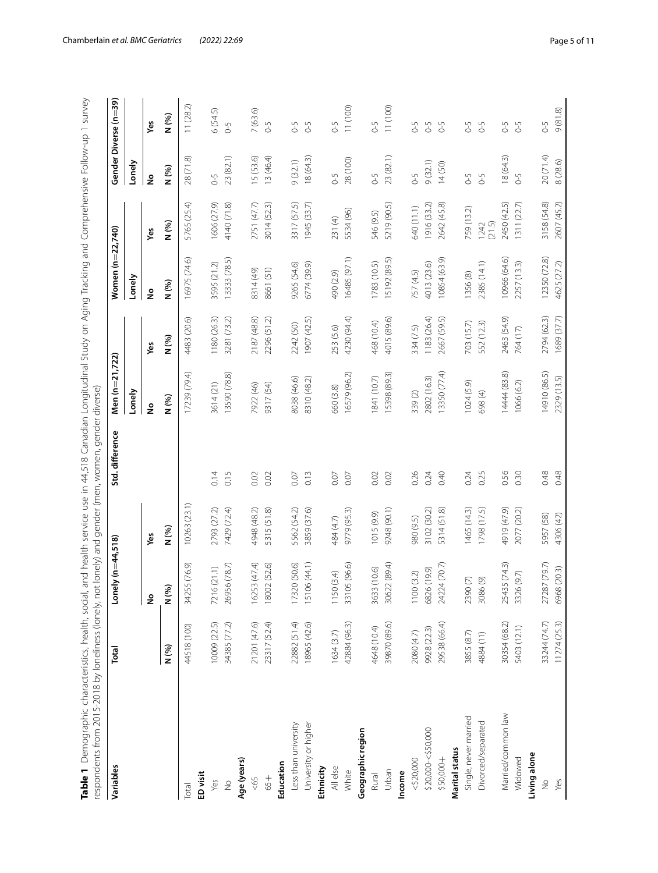<span id="page-4-0"></span>

| S                                                                                                                                                                                                                                                                                        |                                                        |
|------------------------------------------------------------------------------------------------------------------------------------------------------------------------------------------------------------------------------------------------------------------------------------------|--------------------------------------------------------|
|                                                                                                                                                                                                                                                                                          |                                                        |
| $\frac{1}{2}$                                                                                                                                                                                                                                                                            |                                                        |
| l                                                                                                                                                                                                                                                                                        |                                                        |
|                                                                                                                                                                                                                                                                                          |                                                        |
| ì<br>$\frac{1}{2}$                                                                                                                                                                                                                                                                       |                                                        |
| l<br>J                                                                                                                                                                                                                                                                                   |                                                        |
|                                                                                                                                                                                                                                                                                          |                                                        |
| I                                                                                                                                                                                                                                                                                        |                                                        |
| <br> <br> <br> <br> <br> <br>                                                                                                                                                                                                                                                            |                                                        |
|                                                                                                                                                                                                                                                                                          |                                                        |
| - כדי האינוים להתקיים ביני ליני ביני לא הייני לא הייני לא הייני לא הייני לא הייני לא הייני לא הייני לא הייני ל                                                                                                                                                                           |                                                        |
| $\ddot{\phantom{0}}$<br>I                                                                                                                                                                                                                                                                |                                                        |
| $\overline{\phantom{a}}$                                                                                                                                                                                                                                                                 |                                                        |
|                                                                                                                                                                                                                                                                                          |                                                        |
|                                                                                                                                                                                                                                                                                          |                                                        |
| 5<br>5<br>)<br>)<br>Ì                                                                                                                                                                                                                                                                    |                                                        |
| 5                                                                                                                                                                                                                                                                                        |                                                        |
| こてこ キリーでくごてこ キディ<br>$\frac{1}{2}$                                                                                                                                                                                                                                                        | 1                                                      |
|                                                                                                                                                                                                                                                                                          | リコリー<br>.<br>.<br>.<br>.                               |
| .<br> <br> <br>・・・・・ ( ) こうこてい                                                                                                                                                                                                                                                           |                                                        |
|                                                                                                                                                                                                                                                                                          | 5                                                      |
|                                                                                                                                                                                                                                                                                          | )<br>-<br>ì                                            |
|                                                                                                                                                                                                                                                                                          | $\frac{1}{2}$                                          |
|                                                                                                                                                                                                                                                                                          | ١                                                      |
| oial, and health service use in 44,518 Canadia.<br>י איבו <u>ר קריים את המקור</u> לארג באת האיבור לא היה לא היה לא היה לא היה לא היה לא היה לא היה לא היה לא היה לא היה ל<br>באת היה לא היה לא היה לא היה לא היה לא היה לא היה לא היה לא היה לא היה לא היה לא היה לא היה לא היה לא היה ל | rcado cado xir adoctricado cado cado cado xiran<br>ミリニ |
|                                                                                                                                                                                                                                                                                          |                                                        |
|                                                                                                                                                                                                                                                                                          | )<br>5<br> <br>                                        |
|                                                                                                                                                                                                                                                                                          |                                                        |
|                                                                                                                                                                                                                                                                                          | )<br>J                                                 |
|                                                                                                                                                                                                                                                                                          | j                                                      |
|                                                                                                                                                                                                                                                                                          | $\frac{1}{2}$<br>l                                     |
|                                                                                                                                                                                                                                                                                          | )<br>}                                                 |
|                                                                                                                                                                                                                                                                                          | Ī                                                      |
|                                                                                                                                                                                                                                                                                          | ļ<br>1<br>I                                            |
| י<br>י                                                                                                                                                                                                                                                                                   |                                                        |
|                                                                                                                                                                                                                                                                                          |                                                        |
|                                                                                                                                                                                                                                                                                          |                                                        |
| ;<br>;<br>֖֖֖֖֖֖֖֦ׅׅ֪ׅ֚֚֚֚֚֚֚֚֚֚֚֚֬֝֓֡֡֡֓֡֬֓֡֬֓֡֬֓֞֓֞֓֡֬֓֞֓֞֓֡֬֓֞֓֡֬                                                                                                                                                                                                                     |                                                        |
| $\frac{1}{2}$                                                                                                                                                                                                                                                                            |                                                        |
|                                                                                                                                                                                                                                                                                          | )<br>)<br>)<br>)<br>)                                  |
|                                                                                                                                                                                                                                                                                          | İ                                                      |
| covered                                                                                                                                                                                                                                                                                  |                                                        |
|                                                                                                                                                                                                                                                                                          |                                                        |
|                                                                                                                                                                                                                                                                                          | .<br>5                                                 |
|                                                                                                                                                                                                                                                                                          | ļ                                                      |
|                                                                                                                                                                                                                                                                                          |                                                        |

| Variables             | Total        | Lonely (n $=$ 44,518)  |              | Std. difference | Men (n=21,722) |                            | Women $(n=22, 740)$ |                |                      | Gender Diverse (n=39) |
|-----------------------|--------------|------------------------|--------------|-----------------|----------------|----------------------------|---------------------|----------------|----------------------|-----------------------|
|                       |              |                        |              |                 | Lonely         |                            | Lonely              |                | Lonely               |                       |
|                       |              | $\frac{1}{2}$          | Yes          |                 | ے<br>ح         | Yes                        | ş                   | Yes            | $\tilde{\mathbf{z}}$ | Yes                   |
|                       | N (%)        | <b>(%)</b> N           | N (%)        |                 | N (%)          | N (%)                      | N(%)                | N (%)          | N (%)                | N (%)                 |
| Total                 | 44518 (100)  | 34255 (76.9)           | 10263 (23.1) |                 | 17239 (79.4)   | 4483 (20.6)                | 16975 (74.6)        | 5765 (25.4)    | 28 (71.8)            | 11(28.2)              |
| ED visit              |              |                        |              |                 |                |                            |                     |                |                      |                       |
| Yes                   | 10009 (22.5) | (21.1)<br>7216         | 2793 (27.2)  | 0.14            | 3614(21)       | 1180 (26.3)                | 3595 (21.2)         | 1606 (27.9)    | $O-5$                | 6(54.5)               |
| $\frac{\circ}{\sim}$  | 34385 (77.2) | 26956 (78.7)           | 7429 (72.4)  | 0.15            | 13590 (78.8)   | 3281 (73.2)                | 13333 (78.5)        | 4140 (71.8)    | 23(82.1)             | $O-5$                 |
| Age (years)           |              |                        |              |                 |                |                            |                     |                |                      |                       |
| $&0$                  | 21201 (47.6) | 16253 (47.4)           | 4948 (48.2)  | 0.02            | 7922 (46)      |                            | 8314 (49)           | 2751 (47.7)    | 15 (53.6)            | 7(63.6)               |
| $65+$                 | 23317 (52.4) | (52.6)<br>18002        | 5315 (51.8)  | 0.02            | 9317 (54)      | 2187 (48.8)<br>2296 (51.2) | 8661 (51)           | 3014 (52.3)    | 13 (46.4)            | $0-5$                 |
| Education             |              |                        |              |                 |                |                            |                     |                |                      |                       |
| Less than university  | 22882 (51.4) | 17320 (50.6)           | 5562 (54.2)  | 0.07            | 8038 (46.6)    | 2242 (50)                  | 9265 (54.6)         | 3317 (57.5)    | 9(32.1)              | $0 - 5$               |
| University or higher  | 18965 (42.6) | 15106 (44.1)           | 3859 (37.6)  | 0.13            | 8310 (48.2)    | 1907 (42.5)                | 6774 (39.9)         | 1945 (33.7)    | 18(64.3)             | $6-5$                 |
| Ethnicity             |              |                        |              |                 |                |                            |                     |                |                      |                       |
| All else              | 1634 (3.7)   | (3.4)<br>1150          | 484 (4.7)    | 0.07            | 660 (3.8)      | 253 (5.6)                  | 490 (2.9)           | 231(4)         | $O-5$                | $0 - 5$               |
| White                 | 42884 (96.3) | 33105 (96.6)           | 9779 (95.3)  | 0.07            | 16579 (96.2)   | 4230 (94.4)                | 16485 (97.1)        | 5534 (96)      | 28 (100)             | 11(100)               |
| Geographic region     |              |                        |              |                 |                |                            |                     |                |                      |                       |
| Rural                 | 4648 (10.4)  | (10.6)<br>3633         | 1015 (9.9)   | 0.02            | 1841 (10.7)    | 468 (10.4)                 | 1783 (10.5)         | 546 (9.5)      | $G-5$                | $G-2$                 |
| Urban                 | 39870 (89.6) | 2(89.4)<br>30622       | 9248 (90.1)  | 0.02            | 15398 (89.3)   | 4015 (89.6)                | 5192 (89.5)         | 5219 (90.5)    | 23 (82.1)            | 11 (100)              |
| Income                |              |                        |              |                 |                |                            |                     |                |                      |                       |
| $<$ \$20,000          | 2080 (4.7)   | 1100(3.2)              | 980 (9.5)    | 0.26            | 339(2)         | 334 (7.5)                  | 757 (4.5)           | 640 (11.1)     | $G-5$                | $O-5$                 |
| \$20,000-<\$50,000    | 9928 (22.3)  | 6826 (19.9)            | 3102 (30.2)  | 0.24            | 2802 (16.3)    | 1183 (26.4)                | 4013 (23.6)         | 1916 (33.2)    | 9(32.1)              | $0-5$                 |
| \$50,000+             | 29538 (66.4) | 24224 (70.7)           | 5314 (51.8)  | 0.40            | 13350 (77.4)   | 2667 (59.5)                | 10854 (63.9)        | 2642 (45.8)    | 14(50)               | $O-5$                 |
| Marital status        |              |                        |              |                 |                |                            |                     |                |                      |                       |
| Single, never married | 3855 (8.7)   | $\odot$<br>2390        | 1465 (14.3)  | 0.24            | 1024(5.9)      | 703 (15.7)                 | 1356(8)             | 759 (13.2)     | $0-5$                | $O-5$                 |
| Divorced/separated    | 4884 (11)    | $\circledcirc$<br>3086 | 1798 (17.5)  | 0.25            | 698(4)         | 552 (12.3)                 | 2385 (14.1)         | (21.5)<br>1242 | $O-5$                | $0-5$                 |
| Married/common law    | 30354 (68.2) | 25435 (74.3)           | 4919 (47.9)  | 0.56            | 14444 (83.8)   | 2463 (54.9)                | 10966 (64.6)        | 2450 (42.5)    | 18(64.3)             | $0-5$                 |
| Widowed               | 5403 (12.1)  | (9.7)<br>3326          | 2077 (20.2)  | 0.30            | 1066 (6.2)     | 764 (17)                   | 2257 (13.3)         | 1311 (22.7)    | $O-5$                | $0-5$                 |
| Living alone          |              |                        |              |                 |                |                            |                     |                |                      |                       |
| $\frac{1}{2}$         | 33244 (74.7) | 27287 (79.7)           | 5957 (58)    | 0.48            | 14910 (86.5)   | 2794 (62.3)                | 12350 (72.8)        | 3158 (54.8)    | 20 (71.4)            | $G-2$                 |
| Yes                   | 11274 (25.3) | (20.3)<br>6968         | 4306 (42)    | 0.48            | 2329 (13.5)    | 1689 (37.7)                | 4625 (27.2)         | 2607 (45.2)    | 8(28.6)              | 9(81.8)               |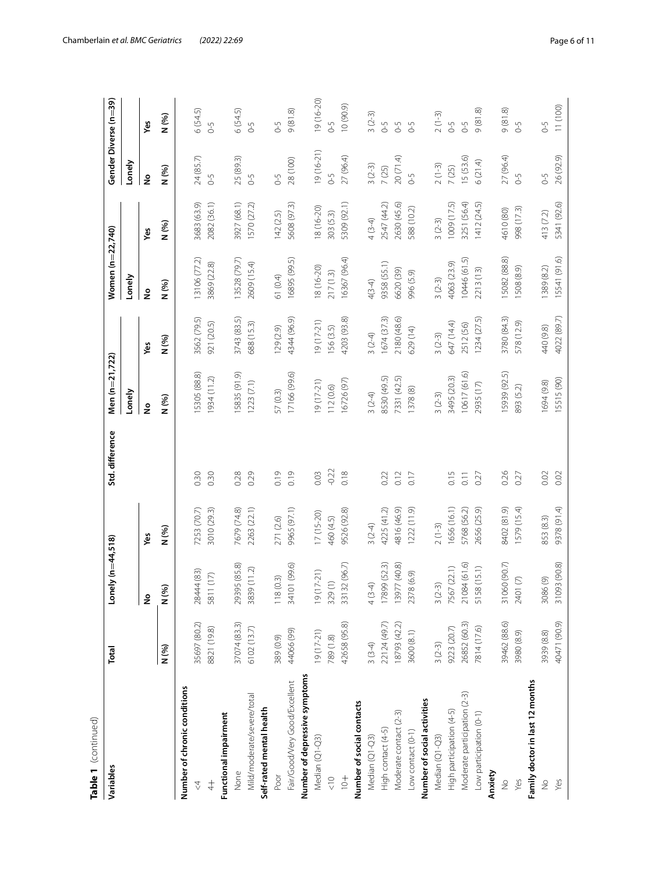| Table 1 (continued)               |              |                      |             |                 |                |             |                    |             |                       |             |
|-----------------------------------|--------------|----------------------|-------------|-----------------|----------------|-------------|--------------------|-------------|-----------------------|-------------|
| Variables                         | Total        | ely (n=44,518)<br>ēς |             | Std. difference | Men (n=21,722) |             | Women $(n=22,740)$ |             | Gender Diverse (n=39) |             |
|                                   |              |                      |             |                 | Lonely         |             | Lonely             |             | Lonely                |             |
|                                   |              | $\frac{1}{2}$        | Yes         |                 | ع              | Yes         | ع                  | Yes         | <u>و</u>              | Yes         |
|                                   | N (%)        | N (%)                | N (%)       |                 | N (%)          | N (%)       | N (%)              | N (%)       | N (%)                 | N (%)       |
| Number of chronic conditions      |              |                      |             |                 |                |             |                    |             |                       |             |
| $\stackrel{\triangle}{\triangle}$ | 35697 (80.2) | 28444 (83)           | 7253 (70.7) | 0.30            | 5305 (88.8)    | 3562 (79.5) | 13106 (77.2)       | 3683 (63.9) | 24(85.7)              | 6(54.5)     |
| $rac{1}{4}$                       | 8821 (19.8)  | $1(17)$<br>581       | 3010 (29.3) | 0.30            | 1934(11.2)     | 921 (20.5)  | 3869 (22.8)        | 2082 (36.1) | $O-5$                 | $O-5$       |
| Functional impairment             |              |                      |             |                 |                |             |                    |             |                       |             |
| None                              | 37074 (83.3) | 29395 (85.8)         | 7679 (74.8) | 0.28            | 5835 (91.9)    | 3743 (83.5) | 13528 (79.7)       | 3927 (68.1) | 25 (89.3)             | 6(54.5)     |
| Mild/moderate/severe/total        | 6102 (13.7)  | 3839 (11.2)          | 2263 (22.1) | 0.29            | 1223(7.1)      | 688 (15.3)  | 2609 (15.4)        | 1570 (27.2) | $G-5$                 | $6-5$       |
| Self-rated mental health          |              |                      |             |                 |                |             |                    |             |                       |             |
| Poor                              | 389 (0.9)    | $(0.3)$<br>118       | 271 (2.6)   | 0.19            | 57 (0.3)       | 29 (2.9)    | 61 (0.4)           | 142(2.5)    | $0 - 5$               | $0 - 5$     |
| Fair/Good/Very Good/Excellent     | 44066 (99)   | 34101 (99.6)         | 9965 (97.1) | 0.19            | 17166 (99.6)   | 4344 (96.9) | 16895 (99.5)       | 5608 (97.3) | 28 (100)              | 9(81.8)     |
| Number of depressive symptoms     |              |                      |             |                 |                |             |                    |             |                       |             |
| Median (Q1-Q3)                    | 19(17-21)    | $19(17 - 21)$        | 17 (15-20)  | 0.03            | $9(17-21)$     | $9(17-21)$  | 18 (16-20)         | 18 (16-20)  | 19 (16-21)            | $19(16-20)$ |
| $\frac{1}{\sqrt{2}}$              | 789 (1.8)    | 329(1)               | 460 (4.5)   | $-0.22$         | 112(0.6)       | 156 (3.5)   | 217(1.3)           | 303 (5.3)   | $6 - 5$               | $0-5$       |
| $\frac{+}{0}$                     | 42658 (95.8) | 33132 (96.7)         | 9526 (92.8) | 0.18            | 16726 (97)     | 4203 (93.8) | 16367 (96.4)       | 5309 (92.1) | 27 (96.4)             | $(6.06)$ 01 |
| Number of social contacts         |              |                      |             |                 |                |             |                    |             |                       |             |
| Median (Q1-Q3)                    | $3(3-4)$     | $4(3-4)$             | $3(2-4)$    |                 | $3(2-4)$       | $3(2-4)$    | $4(3-4)$           | $4(3-4)$    | $3(2-3)$              | $3(2-3)$    |
| High contact (4-5)                | 22124 (49.7) | 17899 (52.3)         | 4225 (41.2) | 0.22            | 8530 (49.5)    | 1674 (37.3) | 9358 (55.1)        | 2547 (44.2) | 7(25)                 | $O-5$       |
| Moderate contact (2-3)            | 18793 (42.2) | 13977 (40.8)         | 4816 (46.9) | 0.12            | 7331 (42.5)    | 2180 (48.6) | 6620 (39)          | 2630 (45.6) | 20 (71.4)             | $O-5$       |
| Low contact (0-1)                 | 3600 (8.1)   | 2378 (6.9)           | 1222(11.9)  | 0.17            | 1378 (8)       | 629 (14)    | 996 (5.9)          | 588 (10.2)  | $0-5$                 | $O-5$       |
| Number of social activities       |              |                      |             |                 |                |             |                    |             |                       |             |
| Median (Q1-Q3)                    | $3(2-3)$     | $3(2-3)$             | $2(1-3)$    |                 | $3(2-3)$       | $3(2-3)$    | $3(2-3)$           | $3(2-3)$    | $2(1-3)$              | $2(1-3)$    |
| High participation (4-5)          | 9223 (20.7)  | 7567 (22.1)          | 1656 (16.1) | 0.15            | 3495 (20.3)    | 647 (14.4)  | 4063 (23.9)        | 1009 (17.5) | 7 (25)                | $0 - 5$     |
| Moderate participation (2-3)      | 26852 (60.3) | 21084 (61.6)         | 5768 (56.2) | 0.11            | 10617 (61.6)   | 2512 (56)   | 10446 (61.5)       | 3251 (56.4) | 15 (53.6)             | $0 - 5$     |
| Low participation (0-1)           | 7814 (17.6)  | 5158 (15.1)          | 2656 (25.9) | 0.27            | 2935 (17)      | 1234 (27.5) | 2213 (13)          | (412 (24.5) | 6(21.4)               | 9(81.8)     |
| Anxiety                           |              |                      |             |                 |                |             |                    |             |                       |             |
| $\frac{1}{2}$                     | 39462 (88.6) | 31060 (90.7)         | 8402 (81.9) | 0.26            | 15939 (92.5)   | 3780 (84.3) | 15082 (88.8)       | 4610 (80)   | 27 (96.4)             | 9(81.8)     |
| Yes                               | 3980 (8.9)   | 2401 (7)             | 1579 (15.4) | 0.27            | 893 (5.2)      | 578 (12.9)  | 1508 (8.9)         | 998 (17.3)  | $O-5$                 | $0-5$       |
| Family doctor in last 12 months   |              |                      |             |                 |                |             |                    |             |                       |             |
| $\frac{1}{2}$                     | 3939 (8.8)   | 3086(9)              | 853 (8.3)   | 0.02            | 1694 (9.8)     | 440 (9.8)   | 1389 (8.2)         | 413 (7.2)   | $0-5$                 | $6-5$       |
| Yes                               | 40471 (90.9) | 31093 (90.8)         | 9378 (91.4) | 0.02            | 15515 (90)     | 4022 (89.7) | 15541 (91.6)       | 5341 (92.6) | 26 (92.9)             | 11(100)     |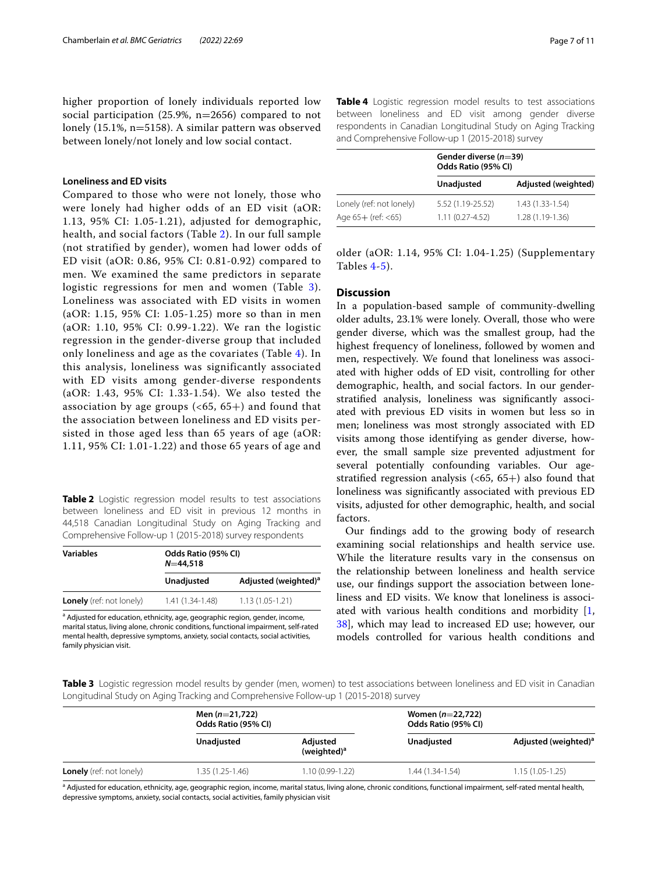higher proportion of lonely individuals reported low social participation (25.9%, n=2656) compared to not lonely (15.1%, n=5158). A similar pattern was observed between lonely/not lonely and low social contact.

# **Loneliness and ED visits**

Compared to those who were not lonely, those who were lonely had higher odds of an ED visit (aOR: 1.13, 95% CI: 1.05-1.21), adjusted for demographic, health, and social factors (Table [2](#page-6-0)). In our full sample (not stratified by gender), women had lower odds of ED visit (aOR: 0.86, 95% CI: 0.81-0.92) compared to men. We examined the same predictors in separate logistic regressions for men and women (Table [3\)](#page-6-1). Loneliness was associated with ED visits in women (aOR: 1.15, 95% CI: 1.05-1.25) more so than in men (aOR: 1.10, 95% CI: 0.99-1.22). We ran the logistic regression in the gender-diverse group that included only loneliness and age as the covariates (Table [4\)](#page-6-2). In this analysis, loneliness was significantly associated with ED visits among gender-diverse respondents (aOR: 1.43, 95% CI: 1.33-1.54). We also tested the association by age groups  $( $65, 65+$ )$  and found that the association between loneliness and ED visits persisted in those aged less than 65 years of age (aOR: 1.11, 95% CI: 1.01-1.22) and those 65 years of age and

<span id="page-6-0"></span>**Table 2** Logistic regression model results to test associations between loneliness and ED visit in previous 12 months in 44,518 Canadian Longitudinal Study on Aging Tracking and Comprehensive Follow-up 1 (2015-2018) survey respondents

| <b>Variables</b>                | Odds Ratio (95% CI)<br>$N = 44.518$ |                                  |
|---------------------------------|-------------------------------------|----------------------------------|
|                                 | Unadjusted                          | Adjusted (weighted) <sup>a</sup> |
| <b>Lonely</b> (ref: not lonely) | 1.41 (1.34-1.48)                    | $1.13(1.05-1.21)$                |
|                                 |                                     |                                  |

<sup>a</sup> Adjusted for education, ethnicity, age, geographic region, gender, income, marital status, living alone, chronic conditions, functional impairment, self-rated mental health, depressive symptoms, anxiety, social contacts, social activities, family physician visit.

<span id="page-6-2"></span>**Table 4** Logistic regression model results to test associations between loneliness and ED visit among gender diverse respondents in Canadian Longitudinal Study on Aging Tracking and Comprehensive Follow-up 1 (2015-2018) survey

|                          | Gender diverse $(n=39)$<br>Odds Ratio (95% CI) |                     |
|--------------------------|------------------------------------------------|---------------------|
|                          | Unadjusted                                     | Adjusted (weighted) |
| Lonely (ref: not lonely) | 5.52 (1.19-25.52)                              | 1.43 (1.33-1.54)    |
| Age $65+$ (ref: $<$ 65)  | $1.11(0.27 - 4.52)$                            | 1.28 (1.19-1.36)    |

older (aOR: 1.14, 95% CI: 1.04-1.25) (Supplementary Tables [4-5\)](#page-8-0).

# **Discussion**

In a population-based sample of community-dwelling older adults, 23.1% were lonely. Overall, those who were gender diverse, which was the smallest group, had the highest frequency of loneliness, followed by women and men, respectively. We found that loneliness was associated with higher odds of ED visit, controlling for other demographic, health, and social factors. In our genderstratifed analysis, loneliness was signifcantly associated with previous ED visits in women but less so in men; loneliness was most strongly associated with ED visits among those identifying as gender diverse, however, the small sample size prevented adjustment for several potentially confounding variables. Our agestratified regression analysis  $( $65, 65+$ )$  also found that loneliness was signifcantly associated with previous ED visits, adjusted for other demographic, health, and social factors.

Our fndings add to the growing body of research examining social relationships and health service use. While the literature results vary in the consensus on the relationship between loneliness and health service use, our fndings support the association between loneliness and ED visits. We know that loneliness is associated with various health conditions and morbidity [\[1](#page-9-0), [38\]](#page-9-34), which may lead to increased ED use; however, our models controlled for various health conditions and

<span id="page-6-1"></span>**Table 3** Logistic regression model results by gender (men, women) to test associations between loneliness and ED visit in Canadian Longitudinal Study on Aging Tracking and Comprehensive Follow-up 1 (2015-2018) survey

|                                 | Men ( <i>n</i> =21,722)<br>Odds Ratio (95% CI) |                                     | Women $(n=22,722)$<br>Odds Ratio (95% CI) |                                  |
|---------------------------------|------------------------------------------------|-------------------------------------|-------------------------------------------|----------------------------------|
|                                 | Unadjusted                                     | Adjusted<br>(weighted) <sup>a</sup> | Unadjusted                                | Adjusted (weighted) <sup>a</sup> |
| <b>Lonely</b> (ref: not lonely) | 1.35 (1.25-1.46)                               | $1.10(0.99 - 1.22)$                 | $1.44(1.34-1.54)$                         | $1.15(1.05-1.25)$                |

<sup>a</sup> Adjusted for education, ethnicity, age, geographic region, income, marital status, living alone, chronic conditions, functional impairment, self-rated mental health, depressive symptoms, anxiety, social contacts, social activities, family physician visit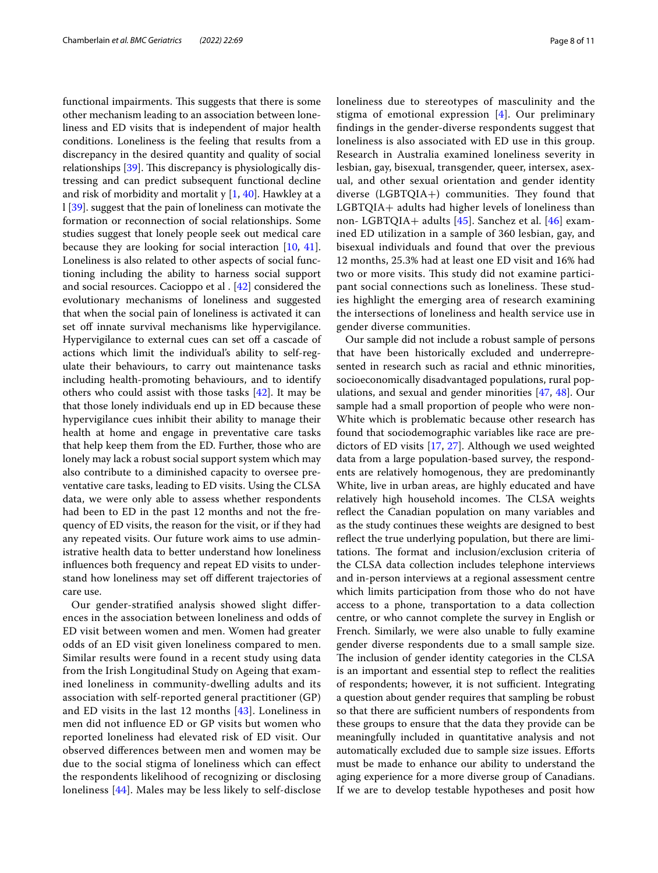functional impairments. This suggests that there is some other mechanism leading to an association between loneliness and ED visits that is independent of major health conditions. Loneliness is the feeling that results from a discrepancy in the desired quantity and quality of social relationships [[39\]](#page-9-35). This discrepancy is physiologically distressing and can predict subsequent functional decline and risk of morbidity and mortalit  $y$  [\[1](#page-9-0), [40\]](#page-9-36). Hawkley at a l [[39\]](#page-9-35). suggest that the pain of loneliness can motivate the formation or reconnection of social relationships. Some studies suggest that lonely people seek out medical care because they are looking for social interaction [\[10](#page-9-9), [41](#page-10-0)]. Loneliness is also related to other aspects of social functioning including the ability to harness social support and social resources. Cacioppo et al . [[42](#page-10-1)] considered the evolutionary mechanisms of loneliness and suggested that when the social pain of loneliness is activated it can set off innate survival mechanisms like hypervigilance. Hypervigilance to external cues can set off a cascade of actions which limit the individual's ability to self-regulate their behaviours, to carry out maintenance tasks including health-promoting behaviours, and to identify others who could assist with those tasks [\[42\]](#page-10-1). It may be that those lonely individuals end up in ED because these hypervigilance cues inhibit their ability to manage their health at home and engage in preventative care tasks that help keep them from the ED. Further, those who are lonely may lack a robust social support system which may also contribute to a diminished capacity to oversee preventative care tasks, leading to ED visits. Using the CLSA data, we were only able to assess whether respondents had been to ED in the past 12 months and not the frequency of ED visits, the reason for the visit, or if they had any repeated visits. Our future work aims to use administrative health data to better understand how loneliness infuences both frequency and repeat ED visits to understand how loneliness may set off different trajectories of care use.

Our gender-stratifed analysis showed slight diferences in the association between loneliness and odds of ED visit between women and men. Women had greater odds of an ED visit given loneliness compared to men. Similar results were found in a recent study using data from the Irish Longitudinal Study on Ageing that examined loneliness in community-dwelling adults and its association with self-reported general practitioner (GP) and ED visits in the last 12 months [\[43](#page-10-2)]. Loneliness in men did not infuence ED or GP visits but women who reported loneliness had elevated risk of ED visit. Our observed diferences between men and women may be due to the social stigma of loneliness which can efect the respondents likelihood of recognizing or disclosing loneliness [[44\]](#page-10-3). Males may be less likely to self-disclose loneliness due to stereotypes of masculinity and the stigma of emotional expression [\[4\]](#page-9-3). Our preliminary fndings in the gender-diverse respondents suggest that loneliness is also associated with ED use in this group. Research in Australia examined loneliness severity in lesbian, gay, bisexual, transgender, queer, intersex, asexual, and other sexual orientation and gender identity diverse  $(LGBTQIA+)$  communities. They found that LGBTQIA+ adults had higher levels of loneliness than non- LGBTQIA+ adults [[45](#page-10-4)]. Sanchez et al. [\[46\]](#page-10-5) examined ED utilization in a sample of 360 lesbian, gay, and bisexual individuals and found that over the previous 12 months, 25.3% had at least one ED visit and 16% had two or more visits. This study did not examine participant social connections such as loneliness. These studies highlight the emerging area of research examining the intersections of loneliness and health service use in gender diverse communities.

Our sample did not include a robust sample of persons that have been historically excluded and underrepresented in research such as racial and ethnic minorities, socioeconomically disadvantaged populations, rural populations, and sexual and gender minorities [[47,](#page-10-6) [48](#page-10-7)]. Our sample had a small proportion of people who were non-White which is problematic because other research has found that sociodemographic variables like race are predictors of ED visits [[17,](#page-9-37) [27\]](#page-9-25). Although we used weighted data from a large population-based survey, the respondents are relatively homogenous, they are predominantly White, live in urban areas, are highly educated and have relatively high household incomes. The CLSA weights refect the Canadian population on many variables and as the study continues these weights are designed to best reflect the true underlying population, but there are limitations. The format and inclusion/exclusion criteria of the CLSA data collection includes telephone interviews and in-person interviews at a regional assessment centre which limits participation from those who do not have access to a phone, transportation to a data collection centre, or who cannot complete the survey in English or French. Similarly, we were also unable to fully examine gender diverse respondents due to a small sample size. The inclusion of gender identity categories in the CLSA is an important and essential step to refect the realities of respondents; however, it is not sufficient. Integrating a question about gender requires that sampling be robust so that there are sufficient numbers of respondents from these groups to ensure that the data they provide can be meaningfully included in quantitative analysis and not automatically excluded due to sample size issues. Eforts must be made to enhance our ability to understand the aging experience for a more diverse group of Canadians. If we are to develop testable hypotheses and posit how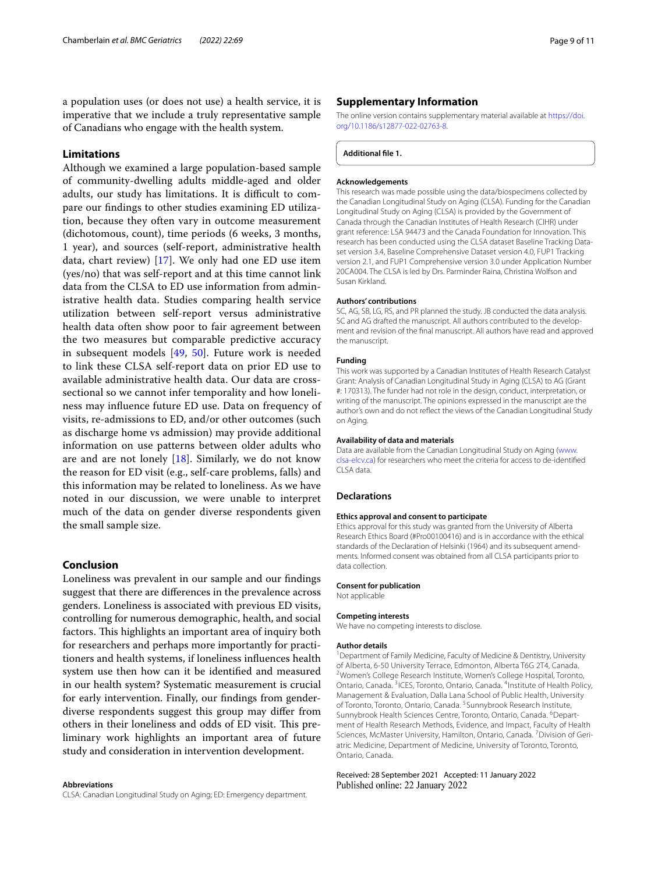a population uses (or does not use) a health service, it is imperative that we include a truly representative sample of Canadians who engage with the health system.

# **Limitations**

Although we examined a large population-based sample of community-dwelling adults middle-aged and older adults, our study has limitations. It is difficult to compare our fndings to other studies examining ED utilization, because they often vary in outcome measurement (dichotomous, count), time periods (6 weeks, 3 months, 1 year), and sources (self-report, administrative health data, chart review) [[17\]](#page-9-37). We only had one ED use item (yes/no) that was self-report and at this time cannot link data from the CLSA to ED use information from administrative health data. Studies comparing health service utilization between self-report versus administrative health data often show poor to fair agreement between the two measures but comparable predictive accuracy in subsequent models [\[49](#page-10-8), [50\]](#page-10-9). Future work is needed to link these CLSA self-report data on prior ED use to available administrative health data. Our data are crosssectional so we cannot infer temporality and how loneliness may infuence future ED use. Data on frequency of visits, re-admissions to ED, and/or other outcomes (such as discharge home vs admission) may provide additional information on use patterns between older adults who are and are not lonely [[18\]](#page-9-15). Similarly, we do not know the reason for ED visit (e.g., self-care problems, falls) and this information may be related to loneliness. As we have noted in our discussion, we were unable to interpret much of the data on gender diverse respondents given the small sample size.

# **Conclusion**

Loneliness was prevalent in our sample and our fndings suggest that there are diferences in the prevalence across genders. Loneliness is associated with previous ED visits, controlling for numerous demographic, health, and social factors. This highlights an important area of inquiry both for researchers and perhaps more importantly for practitioners and health systems, if loneliness infuences health system use then how can it be identifed and measured in our health system? Systematic measurement is crucial for early intervention. Finally, our fndings from genderdiverse respondents suggest this group may difer from others in their loneliness and odds of ED visit. This preliminary work highlights an important area of future study and consideration in intervention development.

#### **Abbreviations**

CLSA: Canadian Longitudinal Study on Aging; ED: Emergency department.

### **Supplementary Information**

The online version contains supplementary material available at [https://doi.](https://doi.org/10.1186/s12877-022-02763-8) [org/10.1186/s12877-022-02763-8](https://doi.org/10.1186/s12877-022-02763-8).

#### <span id="page-8-0"></span>**Additional fle 1.**

#### **Acknowledgements**

This research was made possible using the data/biospecimens collected by the Canadian Longitudinal Study on Aging (CLSA). Funding for the Canadian Longitudinal Study on Aging (CLSA) is provided by the Government of Canada through the Canadian Institutes of Health Research (CIHR) under grant reference: LSA 94473 and the Canada Foundation for Innovation. This research has been conducted using the CLSA dataset Baseline Tracking Dataset version 3.4, Baseline Comprehensive Dataset version 4.0, FUP1 Tracking version 2.1, and FUP1 Comprehensive version 3.0 under Application Number 20CA004. The CLSA is led by Drs. Parminder Raina, Christina Wolfson and Susan Kirkland.

#### **Authors' contributions**

SC, AG, SB, LG, RS, and PR planned the study. JB conducted the data analysis. SC and AG drafted the manuscript. All authors contributed to the development and revision of the fnal manuscript. All authors have read and approved the manuscript.

#### **Funding**

This work was supported by a Canadian Institutes of Health Research Catalyst Grant: Analysis of Canadian Longitudinal Study in Aging (CLSA) to AG (Grant #: 170313). The funder had not role in the design, conduct, interpretation, or writing of the manuscript. The opinions expressed in the manuscript are the author's own and do not refect the views of the Canadian Longitudinal Study on Aging.

#### **Availability of data and materials**

Data are available from the Canadian Longitudinal Study on Aging ([www.](http://www.clsa-elcv.ca) [clsa-elcv.ca](http://www.clsa-elcv.ca)) for researchers who meet the criteria for access to de-identifed CLSA data.

## **Declarations**

#### **Ethics approval and consent to participate**

Ethics approval for this study was granted from the University of Alberta Research Ethics Board (#Pro00100416) and is in accordance with the ethical standards of the Declaration of Helsinki (1964) and its subsequent amendments. Informed consent was obtained from all CLSA participants prior to data collection.

#### **Consent for publication**

Not applicable

#### **Competing interests**

We have no competing interests to disclose.

#### **Author details**

<sup>1</sup> Department of Family Medicine, Faculty of Medicine & Dentistry, University of Alberta, 6-50 University Terrace, Edmonton, Alberta T6G 2T4, Canada.<br><sup>2</sup>Women's College Research Institute, Women's College Hospital, Toronto, Ontario, Canada. 3ICES, Toronto, Ontario, Canada. 4Institute of Health Policy, Management & Evaluation, Dalla Lana School of Public Health, University of Toronto, Toronto, Ontario, Canada. <sup>5</sup>Sunnybrook Research Institute, Sunnybrook Health Sciences Centre, Toronto, Ontario, Canada. <sup>6</sup>Department of Health Research Methods, Evidence, and Impact, Faculty of Health Sciences, McMaster University, Hamilton, Ontario, Canada. <sup>7</sup> Division of Geriatric Medicine, Department of Medicine, University of Toronto, Toronto, Ontario, Canada.

#### Received: 28 September 2021 Accepted: 11 January 2022Published online: 22 January 2022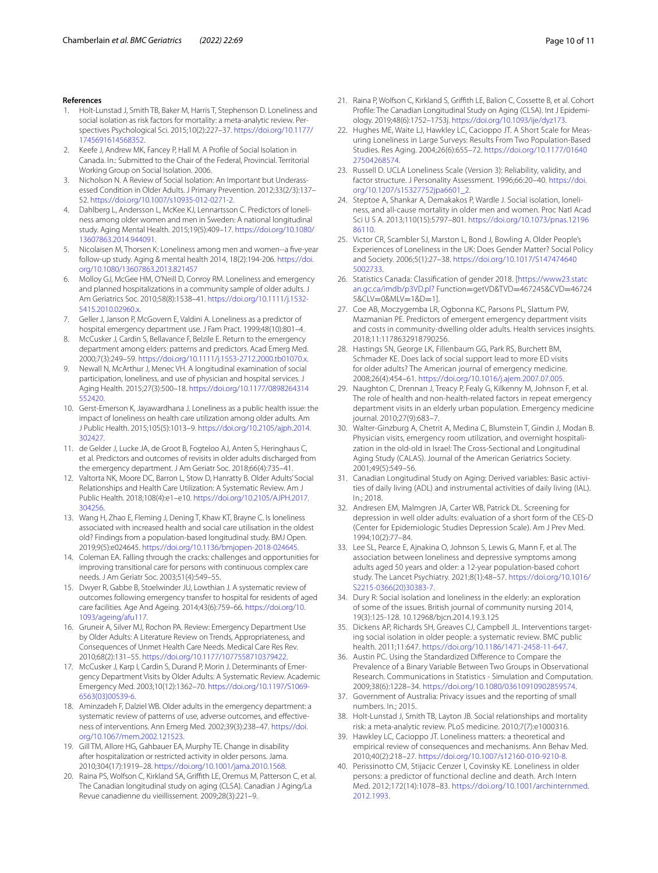#### **References**

- <span id="page-9-0"></span>1. Holt-Lunstad J, Smith TB, Baker M, Harris T, Stephenson D. Loneliness and social isolation as risk factors for mortality: a meta-analytic review. Perspectives Psychological Sci. 2015;10(2):227–37. [https://doi.org/10.1177/](https://doi.org/10.1177/1745691614568352) [1745691614568352](https://doi.org/10.1177/1745691614568352).
- <span id="page-9-1"></span>2. Keefe J, Andrew MK, Fancey P, Hall M. A Profle of Social Isolation in Canada. In.: Submitted to the Chair of the Federal, Provincial. Territorial Working Group on Social Isolation. 2006.
- <span id="page-9-2"></span>3. Nicholson N. A Review of Social Isolation: An Important but Underassessed Condition in Older Adults. J Primary Prevention. 2012;33(2/3):137– 52. [https://doi.org/10.1007/s10935-012-0271-2.](https://doi.org/10.1007/s10935-012-0271-2)
- <span id="page-9-3"></span>4. Dahlberg L, Andersson L, McKee KJ, Lennartsson C. Predictors of loneliness among older women and men in Sweden: A national longitudinal study. Aging Mental Health. 2015;19(5):409–17. [https://doi.org/10.1080/](https://doi.org/10.1080/13607863.2014.944091) [13607863.2014.944091](https://doi.org/10.1080/13607863.2014.944091).
- <span id="page-9-4"></span>5. Nicolaisen M, Thorsen K: Loneliness among men and women--a fve-year follow-up study. Aging & mental health 2014, 18(2):194-206. [https://doi.](https://doi.org/10.1080/13607863.2013.821457) [org/10.1080/13607863.2013.821457](https://doi.org/10.1080/13607863.2013.821457)
- <span id="page-9-5"></span>6. Molloy GJ, McGee HM, O'Neill D, Conroy RM. Loneliness and emergency and planned hospitalizations in a community sample of older adults. J Am Geriatrics Soc. 2010;58(8):1538–41. [https://doi.org/10.1111/j.1532-](https://doi.org/10.1111/j.1532-5415.2010.02960.x) [5415.2010.02960.x](https://doi.org/10.1111/j.1532-5415.2010.02960.x).
- <span id="page-9-6"></span>Geller J, Janson P, McGovern E, Valdini A. Loneliness as a predictor of hospital emergency department use. J Fam Pract. 1999;48(10):801–4.
- <span id="page-9-7"></span>8. McCusker J, Cardin S, Bellavance F, Belzile E. Return to the emergency department among elders: patterns and predictors. Acad Emerg Med. 2000;7(3):249–59. [https://doi.org/10.1111/j.1553-2712.2000.tb01070.x.](https://doi.org/10.1111/j.1553-2712.2000.tb01070.x)
- <span id="page-9-8"></span>9. Newall N, McArthur J, Menec VH. A longitudinal examination of social participation, loneliness, and use of physician and hospital services. J Aging Health. 2015;27(3):500–18. [https://doi.org/10.1177/0898264314](https://doi.org/10.1177/0898264314552420) [552420.](https://doi.org/10.1177/0898264314552420)
- <span id="page-9-9"></span>10. Gerst-Emerson K, Jayawardhana J. Loneliness as a public health issue: the impact of loneliness on health care utilization among older adults. Am J Public Health. 2015;105(5):1013–9. [https://doi.org/10.2105/ajph.2014.](https://doi.org/10.2105/ajph.2014.302427) [302427.](https://doi.org/10.2105/ajph.2014.302427)
- <span id="page-9-10"></span>11. de Gelder J, Lucke JA, de Groot B, Fogteloo AJ, Anten S, Heringhaus C, et al. Predictors and outcomes of revisits in older adults discharged from the emergency department. J Am Geriatr Soc. 2018;66(4):735–41.
- <span id="page-9-24"></span>12. Valtorta NK, Moore DC, Barron L, Stow D, Hanratty B. Older Adults' Social Relationships and Health Care Utilization: A Systematic Review. Am J Public Health. 2018;108(4):e1–e10. [https://doi.org/10.2105/AJPH.2017.](https://doi.org/10.2105/AJPH.2017.304256) [304256.](https://doi.org/10.2105/AJPH.2017.304256)
- <span id="page-9-11"></span>13. Wang H, Zhao E, Fleming J, Dening T, Khaw KT, Brayne C. Is loneliness associated with increased health and social care utilisation in the oldest old? Findings from a population-based longitudinal study. BMJ Open. 2019;9(5):e024645. <https://doi.org/10.1136/bmjopen-2018-024645>.
- <span id="page-9-12"></span>14. Coleman EA. Falling through the cracks: challenges and opportunities for improving transitional care for persons with continuous complex care needs. J Am Geriatr Soc. 2003;51(4):549–55.
- <span id="page-9-13"></span>15. Dwyer R, Gabbe B, Stoelwinder JU, Lowthian J. A systematic review of outcomes following emergency transfer to hospital for residents of aged care facilities. Age And Ageing. 2014;43(6):759–66. [https://doi.org/10.](https://doi.org/10.1093/ageing/afu117) [1093/ageing/afu117.](https://doi.org/10.1093/ageing/afu117)
- <span id="page-9-14"></span>16. Gruneir A, Silver MJ, Rochon PA. Review: Emergency Department Use by Older Adults: A Literature Review on Trends, Appropriateness, and Consequences of Unmet Health Care Needs. Medical Care Res Rev. 2010;68(2):131–55. <https://doi.org/10.1177/1077558710379422>.
- <span id="page-9-37"></span>17. McCusker J, Karp I, Cardin S, Durand P, Morin J. Determinants of Emergency Department Visits by Older Adults: A Systematic Review. Academic Emergency Med. 2003;10(12):1362–70. [https://doi.org/10.1197/S1069-](https://doi.org/10.1197/S1069-6563(03)00539-6) [6563\(03\)00539-6.](https://doi.org/10.1197/S1069-6563(03)00539-6)
- <span id="page-9-15"></span>18. Aminzadeh F, Dalziel WB. Older adults in the emergency department: a systematic review of patterns of use, adverse outcomes, and efectiveness of interventions. Ann Emerg Med. 2002;39(3):238–47. [https://doi.](https://doi.org/10.1067/mem.2002.121523) [org/10.1067/mem.2002.121523.](https://doi.org/10.1067/mem.2002.121523)
- <span id="page-9-16"></span>19. Gill TM, Allore HG, Gahbauer EA, Murphy TE. Change in disability after hospitalization or restricted activity in older persons. Jama. 2010;304(17):1919–28. <https://doi.org/10.1001/jama.2010.1568>.
- <span id="page-9-17"></span>20. Raina PS, Wolfson C, Kirkland SA, Griffith LE, Oremus M, Patterson C, et al. The Canadian longitudinal study on aging (CLSA). Canadian J Aging/La Revue canadienne du vieillissement. 2009;28(3):221–9.
- <span id="page-9-18"></span>21. Raina P, Wolfson C, Kirkland S, Grifth LE, Balion C, Cossette B, et al. Cohort Profle: The Canadian Longitudinal Study on Aging (CLSA). Int J Epidemiology. 2019;48(6):1752–1753j. [https://doi.org/10.1093/ije/dyz173.](https://doi.org/10.1093/ije/dyz173)
- <span id="page-9-19"></span>22. Hughes ME, Waite LJ, Hawkley LC, Cacioppo JT. A Short Scale for Measuring Loneliness in Large Surveys: Results From Two Population-Based Studies. Res Aging. 2004;26(6):655–72. [https://doi.org/10.1177/01640](https://doi.org/10.1177/0164027504268574) [27504268574](https://doi.org/10.1177/0164027504268574).
- <span id="page-9-20"></span>23. Russell D. UCLA Loneliness Scale (Version 3): Reliability, validity, and factor structure. J Personality Assessment. 1996;66:20–40. [https://doi.](https://doi.org/10.1207/s15327752jpa6601_2) [org/10.1207/s15327752jpa6601\\_2.](https://doi.org/10.1207/s15327752jpa6601_2)
- <span id="page-9-21"></span>24. Steptoe A, Shankar A, Demakakos P, Wardle J. Social isolation, loneliness, and all-cause mortality in older men and women. Proc Natl Acad Sci U S A. 2013;110(15):5797–801. [https://doi.org/10.1073/pnas.12196](https://doi.org/10.1073/pnas.1219686110) [86110.](https://doi.org/10.1073/pnas.1219686110)
- <span id="page-9-22"></span>25. Victor CR, Scambler SJ, Marston L, Bond J, Bowling A. Older People's Experiences of Loneliness in the UK: Does Gender Matter? Social Policy and Society. 2006;5(1):27–38. [https://doi.org/10.1017/S147474640](https://doi.org/10.1017/S1474746405002733) [5002733](https://doi.org/10.1017/S1474746405002733).
- <span id="page-9-23"></span>26. Statistics Canada: Classifcation of gender 2018. [[https://www23.statc](https://www23.statcan.gc.ca/imdb/p3VD.pl?) [an.gc.ca/imdb/p3VD.pl?](https://www23.statcan.gc.ca/imdb/p3VD.pl?) Function=getVD&TVD=467245&CVD=46724 5&CLV=0&MLV=1&D=1].
- <span id="page-9-25"></span>27. Coe AB, Moczygemba LR, Ogbonna KC, Parsons PL, Slattum PW, Mazmanian PE. Predictors of emergent emergency department visits and costs in community-dwelling older adults. Health services insights. 2018;11:1178632918790256.
- 28. Hastings SN, George LK, Fillenbaum GG, Park RS, Burchett BM, Schmader KE. Does lack of social support lead to more ED visits for older adults? The American journal of emergency medicine. 2008;26(4):454–61. [https://doi.org/10.1016/j.ajem.2007.07.005.](https://doi.org/10.1016/j.ajem.2007.07.005)
- 29. Naughton C, Drennan J, Treacy P, Fealy G, Kilkenny M, Johnson F, et al. The role of health and non-health-related factors in repeat emergency department visits in an elderly urban population. Emergency medicine journal. 2010;27(9):683–7.
- <span id="page-9-26"></span>30. Walter-Ginzburg A, Chetrit A, Medina C, Blumstein T, Gindin J, Modan B. Physician visits, emergency room utilization, and overnight hospitalization in the old-old in Israel: The Cross-Sectional and Longitudinal Aging Study (CALAS). Journal of the American Geriatrics Society. 2001;49(5):549–56.
- <span id="page-9-27"></span>31. Canadian Longitudinal Study on Aging: Derived variables: Basic activities of daily living (ADL) and instrumental activities of daily living (IAL). In.; 2018.
- <span id="page-9-28"></span>32. Andresen EM, Malmgren JA, Carter WB, Patrick DL. Screening for depression in well older adults: evaluation of a short form of the CES-D (Center for Epidemiologic Studies Depression Scale). Am J Prev Med. 1994;10(2):77–84.
- <span id="page-9-29"></span>33. Lee SL, Pearce E, Ajnakina O, Johnson S, Lewis G, Mann F, et al. The association between loneliness and depressive symptoms among adults aged 50 years and older: a 12-year population-based cohort study. The Lancet Psychiatry. 2021;8(1):48–57. [https://doi.org/10.1016/](https://doi.org/10.1016/S2215-0366(20)30383-7) [S2215-0366\(20\)30383-7](https://doi.org/10.1016/S2215-0366(20)30383-7).
- <span id="page-9-30"></span>34. Dury R: Social isolation and loneliness in the elderly: an exploration of some of the issues. British journal of community nursing 2014, 19(3):125-128. 10.12968/bjcn.2014.19.3.125
- <span id="page-9-31"></span>35. Dickens AP, Richards SH, Greaves CJ, Campbell JL. Interventions targeting social isolation in older people: a systematic review. BMC public health. 2011;11:647. [https://doi.org/10.1186/1471-2458-11-647.](https://doi.org/10.1186/1471-2458-11-647)
- <span id="page-9-32"></span>36. Austin PC. Using the Standardized Diference to Compare the Prevalence of a Binary Variable Between Two Groups in Observational Research. Communications in Statistics - Simulation and Computation. 2009;38(6):1228–34. <https://doi.org/10.1080/03610910902859574>.
- <span id="page-9-33"></span>37. Government of Australia: Privacy issues and the reporting of small numbers. In.; 2015.
- <span id="page-9-34"></span>38. Holt-Lunstad J, Smith TB, Layton JB. Social relationships and mortality risk: a meta-analytic review. PLoS medicine. 2010;7(7):e1000316.
- <span id="page-9-35"></span>39. Hawkley LC, Cacioppo JT. Loneliness matters: a theoretical and empirical review of consequences and mechanisms. Ann Behav Med. 2010;40(2):218–27. <https://doi.org/10.1007/s12160-010-9210-8>.
- <span id="page-9-36"></span>40. Perissinotto CM, Stijacic Cenzer I, Covinsky KE. Loneliness in older persons: a predictor of functional decline and death. Arch Intern Med. 2012;172(14):1078–83. [https://doi.org/10.1001/archinternmed.](https://doi.org/10.1001/archinternmed.2012.1993) [2012.1993.](https://doi.org/10.1001/archinternmed.2012.1993)